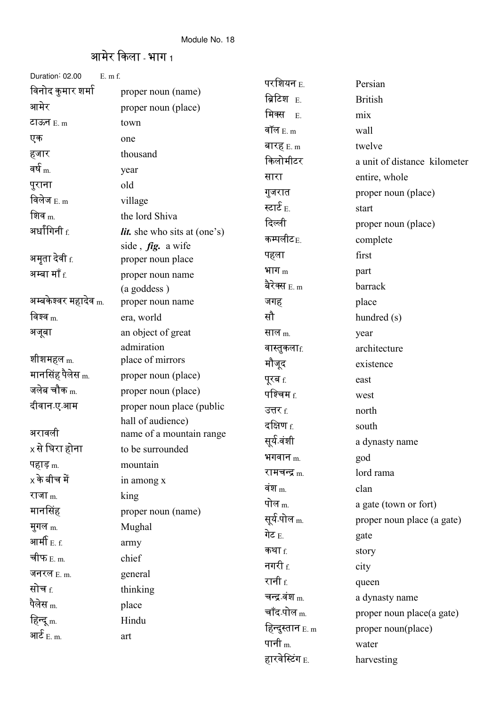## आमेर किला - भाग 1

| Duration: 02.00<br>$E.$ m $f.$                      |                                               |                             |                              |
|-----------------------------------------------------|-----------------------------------------------|-----------------------------|------------------------------|
| विनोद कुमार शर्मा                                   | proper noun (name)                            | परशियन E.<br>ब्रिटिश E.     | Persian                      |
| आमेर                                                | proper noun (place)                           | मिक्स                       | <b>British</b>               |
| टाऊन $E_{\rm m}$                                    | town                                          | E.<br>वॉल $E.m$             | mix                          |
| एक                                                  | one                                           |                             | wall                         |
| हजार                                                | thousand                                      | बारह $_{E. m}$              | twelve                       |
| वर्ष $_{\rm m}$                                     | year                                          | किलोमीटर                    | a unit of distance kilometer |
| पुराना                                              | old                                           | सारा                        | entire, whole                |
| विलेज $_{\rm E.~m}$                                 | village                                       | गुजरात                      | proper noun (place)          |
| शिव $m$                                             | the lord Shiva                                | स्टार्ट $_{\rm E.}$         | start                        |
| अर्धांगिनी $_{\rm f.}$                              | <i>lit.</i> she who sits at (one's)           | दिल्ली                      | proper noun (place)          |
|                                                     | side, fig. a wife                             | कम्पलीट $_{\rm E.}$         | complete                     |
| अमृता देवी <sub>f.</sub>                            | proper noun place                             | पहला                        | first                        |
| अम्बा माँ $_{\rm f.}$                               | proper noun name                              | भाग $_{\rm m}$              | part                         |
|                                                     | (a goddess)                                   | बेरेक्स $_{\rm E.~m}$       | barrack                      |
| अम्बकेश्वर महादेव <sub>m.</sub>                     | proper noun name                              | जगह                         | place                        |
| विश्व $_{\rm m}$                                    | era, world                                    | सौ                          | hundred (s)                  |
| अजूबा                                               | an object of great                            | साल <sub>m.</sub>           | year                         |
|                                                     | admiration                                    | वास्तुकला $_{\rm f.}$       | architecture                 |
| शीशमहल <sub>m.</sub><br>मानसिंह पैलेस <sub>m.</sub> | place of mirrors                              | मौजूद                       | existence                    |
| जलेब चौक <sub>m.</sub>                              | proper noun (place)                           | पूरब f.                     | east                         |
|                                                     | proper noun (place)                           | पश्चिम $_{\rm f.}$          | west                         |
| दीवान ए आम                                          | proper noun place (public                     | उत्तर f.                    | north                        |
| अरावली                                              | hall of audience)<br>name of a mountain range | दक्षिण $_{\rm f.}$          | south                        |
| x से घिरा होना                                      | to be surrounded                              | सूर्य वंशी                  | a dynasty name               |
| पहाड़ <sub>m.</sub>                                 | mountain                                      | भगवान $m$                   | god                          |
| $\times$ के बीच में                                 | in among x                                    | रामचन्द्र <sub>m.</sub>     | lord rama                    |
| राजा $m$                                            | king                                          | वंश $_{\rm m}$              | clan                         |
| मानसिंह                                             | proper noun (name)                            | पोल <sub>m.</sub>           | a gate (town or fort)        |
| मुगल $m$ .                                          | Mughal                                        | सूर्य पोल <sub>m.</sub>     | proper noun place (a gate)   |
| आर्मी $_{\rm E.~f.}$                                | army                                          | गेट $_{\rm E.}$             | gate                         |
| चीफ $_{\rm E.~m.}$                                  | chief                                         | कथा $f$                     | story                        |
| जनरल $E.m.$                                         | general                                       | नगरी $_{\rm f.}$            | city                         |
| सोच <sub>f.</sub>                                   | thinking                                      | रानी <u>f</u>               | queen                        |
| पैलेस <sub>m.</sub>                                 |                                               | चन्द्र वंश <sub>m.</sub>    | a dynasty name               |
| हिन्दू <sub>m.</sub>                                | place<br>Hindu                                | चाँद-पोल <sub>m.</sub>      | proper noun place(a gate)    |
| आ $\mathbf{\hat{\varepsilon}}_{\rm{E.\, m.}}$       |                                               | हिन्दुस्तान <sub>E. m</sub> | proper noun(place)           |
|                                                     | art                                           | पानी <sub>m.</sub>          | water                        |
|                                                     |                                               | हारवेस्टिंग <sub>E.</sub>   | harvesting                   |